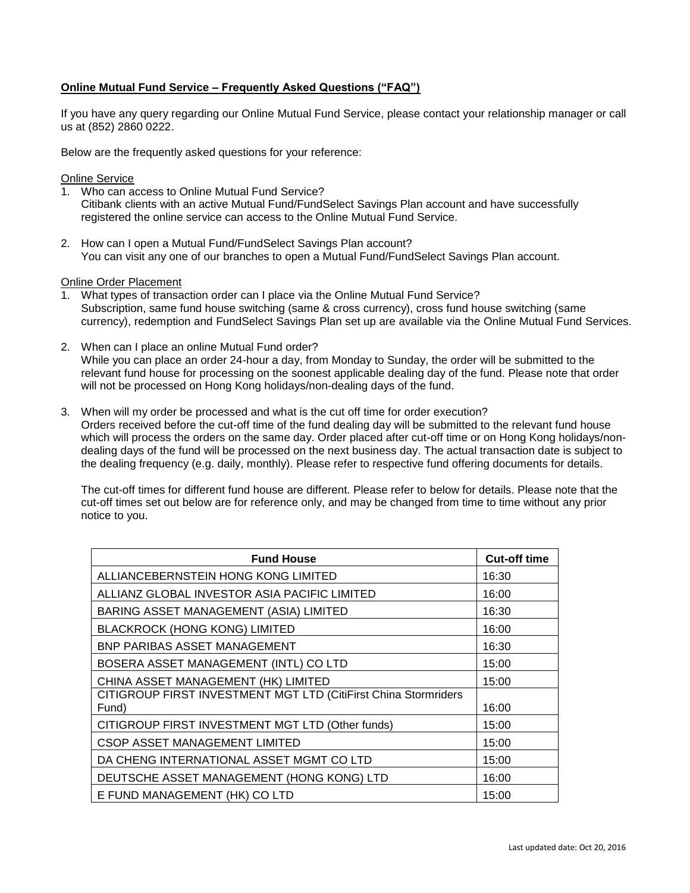## **Online Mutual Fund Service – Frequently Asked Questions ("FAQ")**

If you have any query regarding our Online Mutual Fund Service, please contact your relationship manager or call us at (852) 2860 0222.

Below are the frequently asked questions for your reference:

### Online Service

- 1. Who can access to Online Mutual Fund Service? Citibank clients with an active Mutual Fund/FundSelect Savings Plan account and have successfully registered the online service can access to the Online Mutual Fund Service.
- 2. How can I open a Mutual Fund/FundSelect Savings Plan account? You can visit any one of our branches to open a Mutual Fund/FundSelect Savings Plan account.

#### Online Order Placement

- 1. What types of transaction order can I place via the Online Mutual Fund Service? Subscription, same fund house switching (same & cross currency), cross fund house switching (same currency), redemption and FundSelect Savings Plan set up are available via the Online Mutual Fund Services.
- 2. When can I place an online Mutual Fund order? While you can place an order 24-hour a day, from Monday to Sunday, the order will be submitted to the relevant fund house for processing on the soonest applicable dealing day of the fund. Please note that order will not be processed on Hong Kong holidays/non-dealing days of the fund.
- 3. When will my order be processed and what is the cut off time for order execution? Orders received before the cut-off time of the fund dealing day will be submitted to the relevant fund house which will process the orders on the same day. Order placed after cut-off time or on Hong Kong holidays/nondealing days of the fund will be processed on the next business day. The actual transaction date is subject to the dealing frequency (e.g. daily, monthly). Please refer to respective fund offering documents for details.

The cut-off times for different fund house are different. Please refer to below for details. Please note that the cut-off times set out below are for reference only, and may be changed from time to time without any prior notice to you.

| <b>Fund House</b>                                                        | <b>Cut-off time</b> |
|--------------------------------------------------------------------------|---------------------|
| ALLIANCEBERNSTEIN HONG KONG LIMITED                                      | 16:30               |
| ALLIANZ GLOBAL INVESTOR ASIA PACIFIC LIMITED                             | 16:00               |
| BARING ASSET MANAGEMENT (ASIA) LIMITED                                   | 16:30               |
| <b>BLACKROCK (HONG KONG) LIMITED</b>                                     | 16:00               |
| BNP PARIBAS ASSET MANAGEMENT                                             | 16:30               |
| BOSERA ASSET MANAGEMENT (INTL) CO LTD                                    | 15:00               |
| CHINA ASSET MANAGEMENT (HK) LIMITED                                      | 15:00               |
| CITIGROUP FIRST INVESTMENT MGT LTD (CitiFirst China Stormriders<br>Fund) | 16:00               |
| CITIGROUP FIRST INVESTMENT MGT LTD (Other funds)                         | 15:00               |
| <b>CSOP ASSET MANAGEMENT LIMITED</b>                                     | 15:00               |
| DA CHENG INTERNATIONAL ASSET MGMT CO LTD                                 | 15:00               |
| DEUTSCHE ASSET MANAGEMENT (HONG KONG) LTD                                | 16:00               |
| E FUND MANAGEMENT (HK) CO LTD                                            | 15:00               |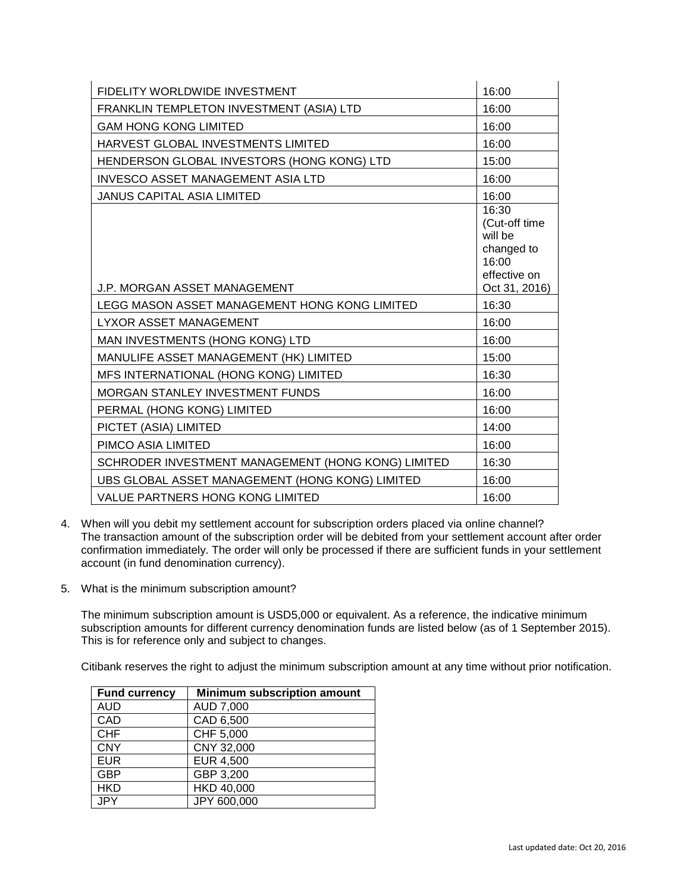| <b>FIDELITY WORLDWIDE INVESTMENT</b>               | 16:00                                                                                     |
|----------------------------------------------------|-------------------------------------------------------------------------------------------|
| FRANKLIN TEMPLETON INVESTMENT (ASIA) LTD           | 16:00                                                                                     |
| <b>GAM HONG KONG LIMITED</b>                       | 16:00                                                                                     |
| HARVEST GLOBAL INVESTMENTS LIMITED                 | 16:00                                                                                     |
| HENDERSON GLOBAL INVESTORS (HONG KONG) LTD         | 15:00                                                                                     |
| <b>INVESCO ASSET MANAGEMENT ASIA LTD</b>           | 16:00                                                                                     |
| <b>JANUS CAPITAL ASIA LIMITED</b>                  | 16:00                                                                                     |
| <b>J.P. MORGAN ASSET MANAGEMENT</b>                | 16:30<br>(Cut-off time<br>will be<br>changed to<br>16:00<br>effective on<br>Oct 31, 2016) |
| LEGG MASON ASSET MANAGEMENT HONG KONG LIMITED      | 16:30                                                                                     |
| LYXOR ASSET MANAGEMENT                             | 16:00                                                                                     |
| MAN INVESTMENTS (HONG KONG) LTD                    | 16:00                                                                                     |
| MANULIFE ASSET MANAGEMENT (HK) LIMITED             | 15:00                                                                                     |
| MFS INTERNATIONAL (HONG KONG) LIMITED              | 16:30                                                                                     |
| MORGAN STANLEY INVESTMENT FUNDS                    | 16:00                                                                                     |
| PERMAL (HONG KONG) LIMITED                         | 16:00                                                                                     |
| PICTET (ASIA) LIMITED                              | 14:00                                                                                     |
| PIMCO ASIA LIMITED                                 | 16:00                                                                                     |
| SCHRODER INVESTMENT MANAGEMENT (HONG KONG) LIMITED | 16:30                                                                                     |
| UBS GLOBAL ASSET MANAGEMENT (HONG KONG) LIMITED    | 16:00                                                                                     |
| <b>VALUE PARTNERS HONG KONG LIMITED</b>            | 16:00                                                                                     |

- 4. When will you debit my settlement account for subscription orders placed via online channel? The transaction amount of the subscription order will be debited from your settlement account after order confirmation immediately. The order will only be processed if there are sufficient funds in your settlement account (in fund denomination currency).
- 5. What is the minimum subscription amount?

The minimum subscription amount is USD5,000 or equivalent. As a reference, the indicative minimum subscription amounts for different currency denomination funds are listed below (as of 1 September 2015). This is for reference only and subject to changes.

Citibank reserves the right to adjust the minimum subscription amount at any time without prior notification.

| <b>Fund currency</b> | <b>Minimum subscription amount</b> |
|----------------------|------------------------------------|
| <b>AUD</b>           | AUD 7,000                          |
| CAD                  | CAD 6,500                          |
| <b>CHF</b>           | CHF 5,000                          |
| <b>CNY</b>           | CNY 32,000                         |
| <b>EUR</b>           | <b>EUR 4,500</b>                   |
| <b>GBP</b>           | GBP 3,200                          |
| <b>HKD</b>           | HKD 40,000                         |
|                      | JPY 600,000                        |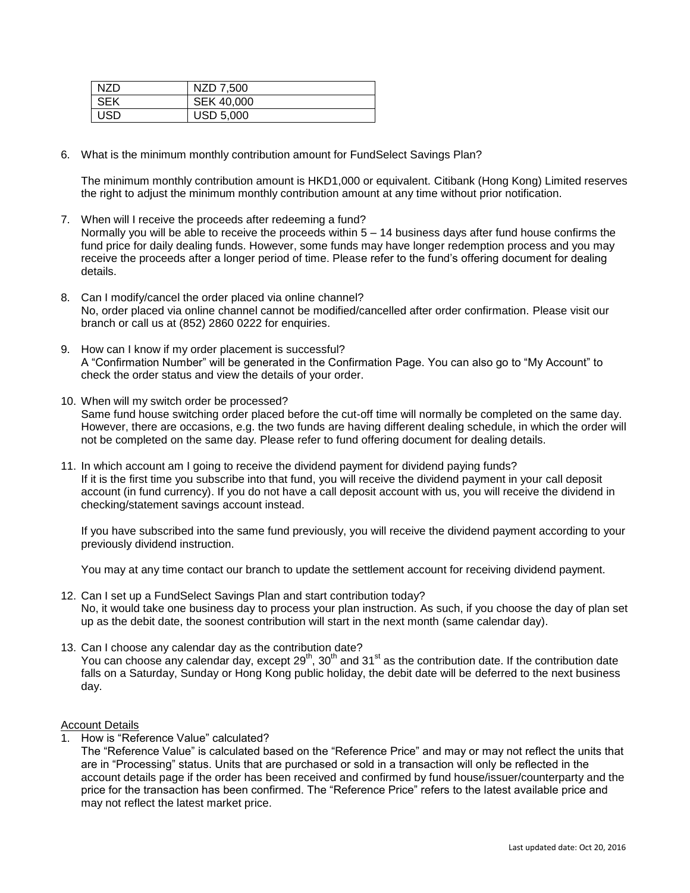| NZD.       | NZD 7,500        |
|------------|------------------|
| SEK        | SEK 40,000       |
| <b>USD</b> | <b>USD 5,000</b> |

6. What is the minimum monthly contribution amount for FundSelect Savings Plan?

The minimum monthly contribution amount is HKD1,000 or equivalent. Citibank (Hong Kong) Limited reserves the right to adjust the minimum monthly contribution amount at any time without prior notification.

- 7. When will I receive the proceeds after redeeming a fund? Normally you will be able to receive the proceeds within 5 – 14 business days after fund house confirms the fund price for daily dealing funds. However, some funds may have longer redemption process and you may receive the proceeds after a longer period of time. Please refer to the fund's offering document for dealing details.
- 8. Can I modify/cancel the order placed via online channel? No, order placed via online channel cannot be modified/cancelled after order confirmation. Please visit our branch or call us at (852) 2860 0222 for enquiries.
- 9. How can I know if my order placement is successful? A "Confirmation Number" will be generated in the Confirmation Page. You can also go to "My Account" to check the order status and view the details of your order.
- 10. When will my switch order be processed? Same fund house switching order placed before the cut-off time will normally be completed on the same day. However, there are occasions, e.g. the two funds are having different dealing schedule, in which the order will not be completed on the same day. Please refer to fund offering document for dealing details.
- 11. In which account am I going to receive the dividend payment for dividend paying funds? If it is the first time you subscribe into that fund, you will receive the dividend payment in your call deposit account (in fund currency). If you do not have a call deposit account with us, you will receive the dividend in checking/statement savings account instead.

If you have subscribed into the same fund previously, you will receive the dividend payment according to your previously dividend instruction.

You may at any time contact our branch to update the settlement account for receiving dividend payment.

- 12. Can I set up a FundSelect Savings Plan and start contribution today? No, it would take one business day to process your plan instruction. As such, if you choose the day of plan set up as the debit date, the soonest contribution will start in the next month (same calendar day).
- 13. Can I choose any calendar day as the contribution date? You can choose any calendar day, except 29<sup>th</sup>, 30<sup>th</sup> and 31<sup>st</sup> as the contribution date. If the contribution date falls on a Saturday, Sunday or Hong Kong public holiday, the debit date will be deferred to the next business day.

## Account Details

1. How is "Reference Value" calculated?

The "Reference Value" is calculated based on the "Reference Price" and may or may not reflect the units that are in "Processing" status. Units that are purchased or sold in a transaction will only be reflected in the account details page if the order has been received and confirmed by fund house/issuer/counterparty and the price for the transaction has been confirmed. The "Reference Price" refers to the latest available price and may not reflect the latest market price.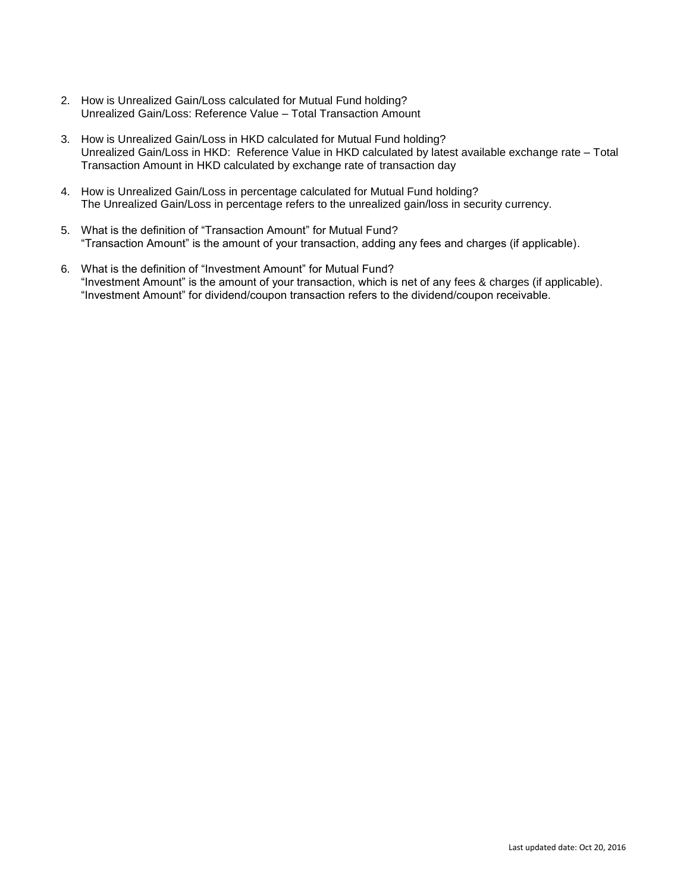- 2. How is Unrealized Gain/Loss calculated for Mutual Fund holding? Unrealized Gain/Loss: Reference Value – Total Transaction Amount
- 3. How is Unrealized Gain/Loss in HKD calculated for Mutual Fund holding? Unrealized Gain/Loss in HKD: Reference Value in HKD calculated by latest available exchange rate – Total Transaction Amount in HKD calculated by exchange rate of transaction day
- 4. How is Unrealized Gain/Loss in percentage calculated for Mutual Fund holding? The Unrealized Gain/Loss in percentage refers to the unrealized gain/loss in security currency.
- 5. What is the definition of "Transaction Amount" for Mutual Fund? "Transaction Amount" is the amount of your transaction, adding any fees and charges (if applicable).
- 6. What is the definition of "Investment Amount" for Mutual Fund? "Investment Amount" is the amount of your transaction, which is net of any fees & charges (if applicable). "Investment Amount" for dividend/coupon transaction refers to the dividend/coupon receivable.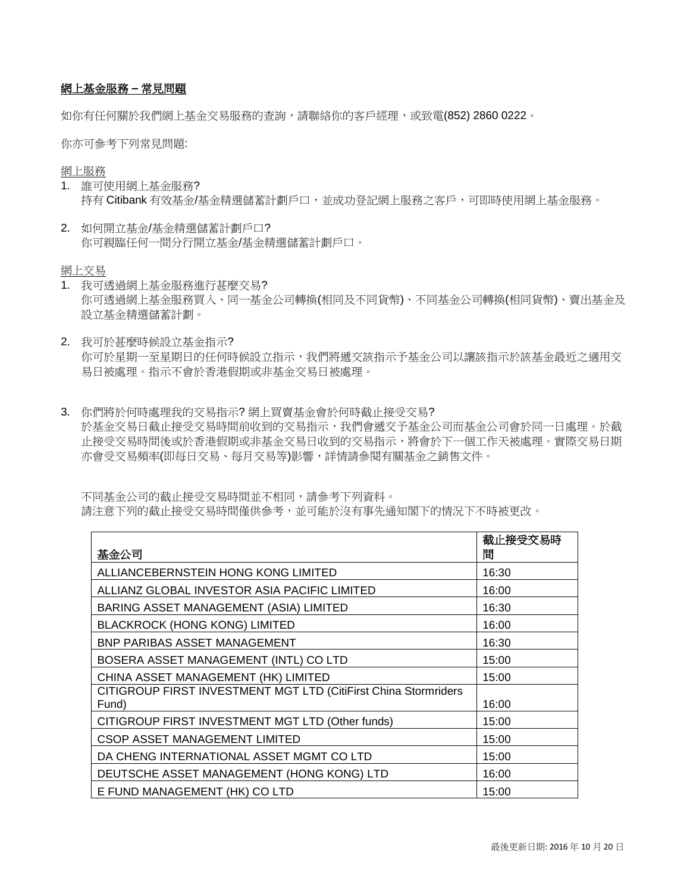# 網上基金服務 **–** 常見問題

如你有任何關於我們網上基金交易服務的杳詢,請聯絡你的客戶經理,或致電(852) 2860 0222。

你亦可參考下列常見問題:

網上服務

- 1. 誰可使用網上基金服務? 持有 Citibank 有效基金/基金精選儲蓄計劃戶口,並成功登記網上服務之客戶,可即時使用網上基金服務。
- 2. 如何開立基金/基金精選儲蓄計劃戶口? 你可親臨任何一間分行開立基金/基金精選儲蓄計劃戶口。

網上交易

- 1. 我可透過網上基金服務進行甚麼交易? 你可透過網上基金服務買入、同一基金公司轉換(相同及不同貨幣)、不同基金公司轉換(相同貨幣)、賣出基金及 設立基金精選儲蓄計劃。
- 2. 我可於甚麼時候設立基金指示? 你可於星期一至星期日的任何時候設立指示,我們將遞交該指示予基金公司以讓該指示於該基金最近之適用交 易日被處理。指示不會於香港假期或非基金交易日被處理。
- 3. 你們將於何時處理我的交易指示? 網上買賣基金會於何時截止接受交易? 於基金交易日截止接受交易時間前收到的交易指示,我們會遞交予基金公司而基金公司會於同一日處理。於截 止接受交易時間後或於香港假期或非基金交易日收到的交易指示,將會於下一個工作天被處理。實際交易日期 亦會受交易頻率(即每日交易、每月交易等)影響,詳情請參閱有關基金之銷售文件。

不同基金公司的截止接受交易時間並不相同,請參考下列資料。 請注意下列的截止接受交易時間僅供參考,並可能於沒有事先通知閣下的情況下不時被更改。

| 基金公司                                                                     | 截止接受交易時<br>間 |
|--------------------------------------------------------------------------|--------------|
| ALLIANCEBERNSTEIN HONG KONG LIMITED                                      | 16:30        |
| ALLIANZ GLOBAL INVESTOR ASIA PACIFIC LIMITED                             | 16:00        |
| <b>BARING ASSET MANAGEMENT (ASIA) LIMITED</b>                            | 16:30        |
| <b>BLACKROCK (HONG KONG) LIMITED</b>                                     | 16:00        |
| <b>BNP PARIBAS ASSET MANAGEMENT</b>                                      | 16:30        |
| BOSERA ASSET MANAGEMENT (INTL) CO LTD                                    | 15:00        |
| CHINA ASSET MANAGEMENT (HK) LIMITED                                      | 15:00        |
| CITIGROUP FIRST INVESTMENT MGT LTD (CitiFirst China Stormriders<br>Fund) | 16:00        |
| CITIGROUP FIRST INVESTMENT MGT LTD (Other funds)                         | 15:00        |
| <b>CSOP ASSET MANAGEMENT LIMITED</b>                                     | 15:00        |
| DA CHENG INTERNATIONAL ASSET MGMT CO LTD                                 | 15:00        |
| DEUTSCHE ASSET MANAGEMENT (HONG KONG) LTD                                | 16:00        |
| E FUND MANAGEMENT (HK) CO LTD                                            | 15:00        |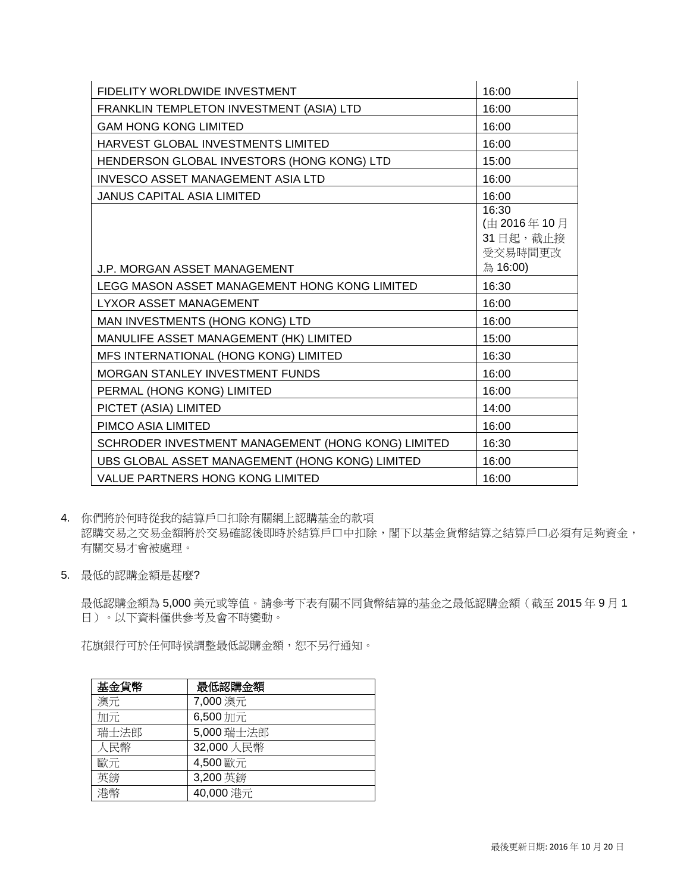| FIDELITY WORLDWIDE INVESTMENT                      | 16:00                                                   |
|----------------------------------------------------|---------------------------------------------------------|
| FRANKLIN TEMPLETON INVESTMENT (ASIA) LTD           | 16:00                                                   |
| <b>GAM HONG KONG LIMITED</b>                       | 16:00                                                   |
| HARVEST GLOBAL INVESTMENTS LIMITED                 | 16:00                                                   |
| HENDERSON GLOBAL INVESTORS (HONG KONG) LTD         | 15:00                                                   |
| <b>INVESCO ASSET MANAGEMENT ASIA LTD</b>           | 16:00                                                   |
| <b>JANUS CAPITAL ASIA LIMITED</b>                  | 16:00                                                   |
| <b>J.P. MORGAN ASSET MANAGEMENT</b>                | 16:30<br>(由 2016年10月<br>31日起,截止接<br>受交易時間更改<br>為 16:00) |
| LEGG MASON ASSET MANAGEMENT HONG KONG LIMITED      | 16:30                                                   |
| <b>LYXOR ASSET MANAGEMENT</b>                      | 16:00                                                   |
| MAN INVESTMENTS (HONG KONG) LTD                    | 16:00                                                   |
| MANULIFE ASSET MANAGEMENT (HK) LIMITED             | 15:00                                                   |
| MFS INTERNATIONAL (HONG KONG) LIMITED              | 16:30                                                   |
| MORGAN STANLEY INVESTMENT FUNDS                    | 16:00                                                   |
| PERMAL (HONG KONG) LIMITED                         | 16:00                                                   |
| PICTET (ASIA) LIMITED                              | 14:00                                                   |
| PIMCO ASIA LIMITED                                 | 16:00                                                   |
| SCHRODER INVESTMENT MANAGEMENT (HONG KONG) LIMITED | 16:30                                                   |
| UBS GLOBAL ASSET MANAGEMENT (HONG KONG) LIMITED    | 16:00                                                   |
| VALUE PARTNERS HONG KONG LIMITED                   | 16:00                                                   |

4. 你們將於何時從我的結算戶口扣除有關網上認購基金的款項 認購交易之交易金額將於交易確認後即時於結算戶口中扣除,閣下以基金貨幣結算之結算戶口必須有足夠資金, 有關交易才會被處理。

5. 最低的認購金額是甚麼?

最低認購金額為 5,000 美元或等值。請參考下表有關不同貨幣結算的基金之最低認購金額(截至 2015 年 9 月 1 日)。以下資料僅供參考及會不時變動。

花旗銀行可於任何時候調整最低認購金額,恕不另行通知。

| 基金貨幣 | 最低認購金額     |
|------|------------|
| 澳元   | 7,000 澳元   |
| 加元   | 6,500加元    |
| 瑞士法郎 | 5,000 瑞士法郎 |
| 人民幣  | 32,000 人民幣 |
| 歐元   | 4,500 歐元   |
| 英鎊   | 3,200 英鎊   |
| 港幣   | 40,000 港元  |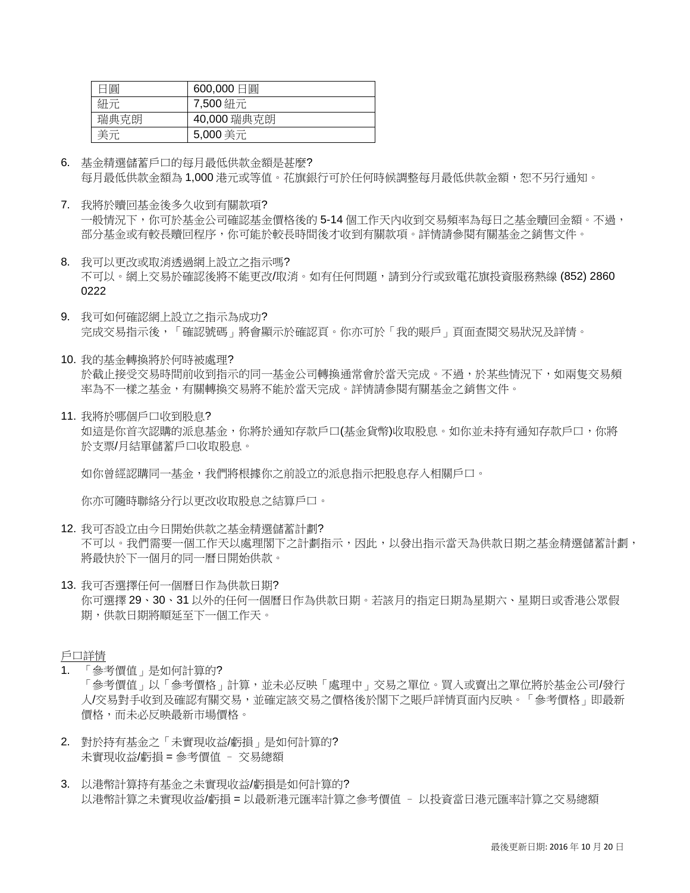| 日圓   | 600,000日圓   |
|------|-------------|
| 紐元   | 7,500 紐元    |
| 瑞典克朗 | 40,000 瑞典克朗 |
| 美元   | 5,000 美元    |

- 6. 基金精選儲蓄戶口的每月最低供款金額是甚麼? 每月最低供款金額為 1,000 港元或等值。花旗銀行可於任何時候調整每月最低供款金額,恕不另行通知。
- 7. 我將於贖回基金後多久收到有關款項? 一般情況下,你可於基金公司確認基金價格後的 5-14 個工作天內收到交易頻率為每日之基金贖回金額。不過, 部分基金或有較長贖回程序,你可能於較長時間後才收到有關款項。詳情請參閱有關基金之銷售文件。
- 8. 我可以更改或取消透過網上設立之指示嗎? 不可以。網上交易於確認後將不能更改/取消。如有任何問題,請到分行或致電花旗投資服務熱線 (852) 2860 0222
- 9. 我可如何確認網上設立之指示為成功? 完成交易指示後,「確認號碼」將會顯示於確認頁。你亦可於「我的賬戶」頁面查閱交易狀況及詳情。
- 10. 我的基金轉換將於何時被處理? 於截止接受交易時間前收到指示的同一基金公司轉換通常會於當天完成。不過,於某些情況下,如兩隻交易頻 率為不一樣之基金,有關轉換交易將不能於當天完成。詳情請參閱有關基金之銷售文件。
- 11. 我將於哪個戶口收到股息? 如這是你首次認購的派息基金,你將於通知存款戶口(基金貨幣)收取股息。如你並未持有通知存款戶口,你將 於支票/月結單儲蓄戶口收取股息。

如你曾經認購同一基金,我們將根據你之前設立的派息指示把股息存入相關戶口。

你亦可隨時聯絡分行以更改收取股息之結算戶口。

- 12. 我可否設立由今日開始供款之基金精選儲蓄計劃? 不可以。我們需要一個工作天以處理閣下之計劃指示,因此,以發出指示當天為供款日期之基金精選儲蓄計劃, 將最快於下一個月的同一曆日開始供款。
- 13. 我可否選擇任何一個曆日作為供款日期? 你可選擇 29、30、31 以外的任何一個曆日作為供款日期。若該月的指定日期為星期六、星期日或香港公眾假 期,供款日期將順延至下一個工作天。

戶口詳情

- 「參考價值」是如何計算的? 「參考價值」以「參考價格」計算,並未必反映「處理中」交易之單位。買入或賣出之單位將於基金公司/發行 人/交易對手收到及確認有關交易,並確定該交易之價格後於閣下之賬戶詳情頁面內反映。「參考價格」即最新 價格,而未必反映最新市場價格。
- 2. 對於持有基金之「未實現收益/虧損」是如何計算的? 未實現收益/虧損 = 參考價值 – 交易總額
- 3. 以港幣計算持有基金之未實現收益/虧損是如何計算的? 以港幣計算之未實現收益/虧損 = 以最新港元匯率計算之參考價值 – 以投資當日港元匯率計算之交易總額